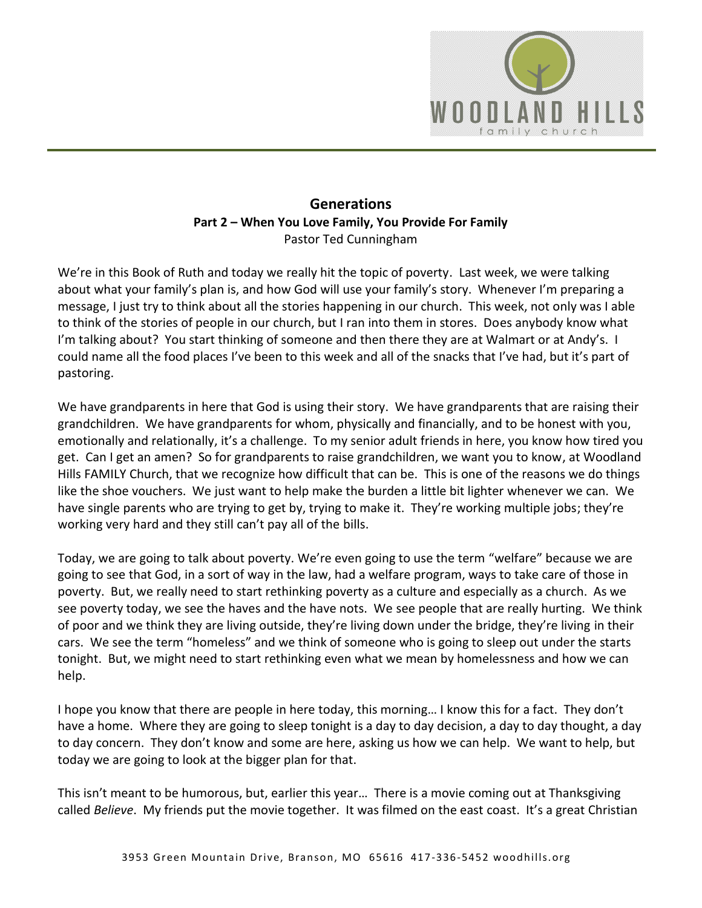

### **Generations Part 2 – When You Love Family, You Provide For Family**  Pastor Ted Cunningham

We're in this Book of Ruth and today we really hit the topic of poverty. Last week, we were talking about what your family's plan is, and how God will use your family's story. Whenever I'm preparing a message, I just try to think about all the stories happening in our church. This week, not only was I able to think of the stories of people in our church, but I ran into them in stores. Does anybody know what I'm talking about? You start thinking of someone and then there they are at Walmart or at Andy's. I could name all the food places I've been to this week and all of the snacks that I've had, but it's part of pastoring.

We have grandparents in here that God is using their story. We have grandparents that are raising their grandchildren. We have grandparents for whom, physically and financially, and to be honest with you, emotionally and relationally, it's a challenge. To my senior adult friends in here, you know how tired you get. Can I get an amen? So for grandparents to raise grandchildren, we want you to know, at Woodland Hills FAMILY Church, that we recognize how difficult that can be. This is one of the reasons we do things like the shoe vouchers. We just want to help make the burden a little bit lighter whenever we can. We have single parents who are trying to get by, trying to make it. They're working multiple jobs; they're working very hard and they still can't pay all of the bills.

Today, we are going to talk about poverty. We're even going to use the term "welfare" because we are going to see that God, in a sort of way in the law, had a welfare program, ways to take care of those in poverty. But, we really need to start rethinking poverty as a culture and especially as a church. As we see poverty today, we see the haves and the have nots. We see people that are really hurting. We think of poor and we think they are living outside, they're living down under the bridge, they're living in their cars. We see the term "homeless" and we think of someone who is going to sleep out under the starts tonight. But, we might need to start rethinking even what we mean by homelessness and how we can help.

I hope you know that there are people in here today, this morning… I know this for a fact. They don't have a home. Where they are going to sleep tonight is a day to day decision, a day to day thought, a day to day concern. They don't know and some are here, asking us how we can help. We want to help, but today we are going to look at the bigger plan for that.

This isn't meant to be humorous, but, earlier this year… There is a movie coming out at Thanksgiving called *Believe*. My friends put the movie together. It was filmed on the east coast. It's a great Christian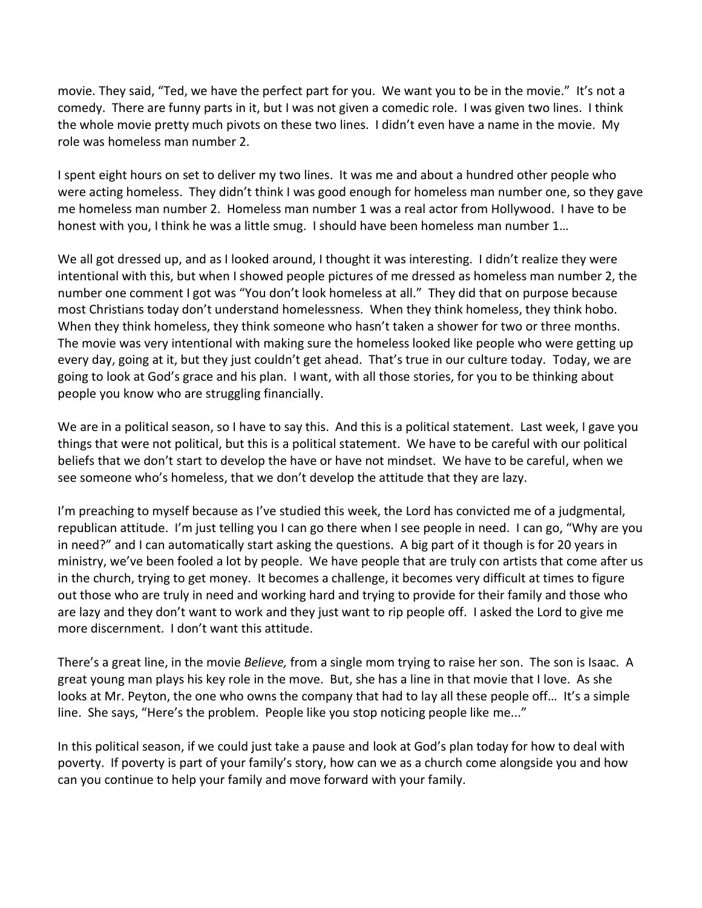movie. They said, "Ted, we have the perfect part for you. We want you to be in the movie." It's not a comedy. There are funny parts in it, but I was not given a comedic role. I was given two lines. I think the whole movie pretty much pivots on these two lines. I didn't even have a name in the movie. My role was homeless man number 2.

I spent eight hours on set to deliver my two lines. It was me and about a hundred other people who were acting homeless. They didn't think I was good enough for homeless man number one, so they gave me homeless man number 2. Homeless man number 1 was a real actor from Hollywood. I have to be honest with you, I think he was a little smug. I should have been homeless man number 1…

We all got dressed up, and as I looked around, I thought it was interesting. I didn't realize they were intentional with this, but when I showed people pictures of me dressed as homeless man number 2, the number one comment I got was "You don't look homeless at all." They did that on purpose because most Christians today don't understand homelessness. When they think homeless, they think hobo. When they think homeless, they think someone who hasn't taken a shower for two or three months. The movie was very intentional with making sure the homeless looked like people who were getting up every day, going at it, but they just couldn't get ahead. That's true in our culture today. Today, we are going to look at God's grace and his plan. I want, with all those stories, for you to be thinking about people you know who are struggling financially.

We are in a political season, so I have to say this. And this is a political statement. Last week, I gave you things that were not political, but this is a political statement. We have to be careful with our political beliefs that we don't start to develop the have or have not mindset. We have to be careful, when we see someone who's homeless, that we don't develop the attitude that they are lazy.

I'm preaching to myself because as I've studied this week, the Lord has convicted me of a judgmental, republican attitude. I'm just telling you I can go there when I see people in need. I can go, "Why are you in need?" and I can automatically start asking the questions. A big part of it though is for 20 years in ministry, we've been fooled a lot by people. We have people that are truly con artists that come after us in the church, trying to get money. It becomes a challenge, it becomes very difficult at times to figure out those who are truly in need and working hard and trying to provide for their family and those who are lazy and they don't want to work and they just want to rip people off. I asked the Lord to give me more discernment. I don't want this attitude.

There's a great line, in the movie *Believe,* from a single mom trying to raise her son. The son is Isaac. A great young man plays his key role in the move. But, she has a line in that movie that I love. As she looks at Mr. Peyton, the one who owns the company that had to lay all these people off… It's a simple line. She says, "Here's the problem. People like you stop noticing people like me..."

In this political season, if we could just take a pause and look at God's plan today for how to deal with poverty. If poverty is part of your family's story, how can we as a church come alongside you and how can you continue to help your family and move forward with your family.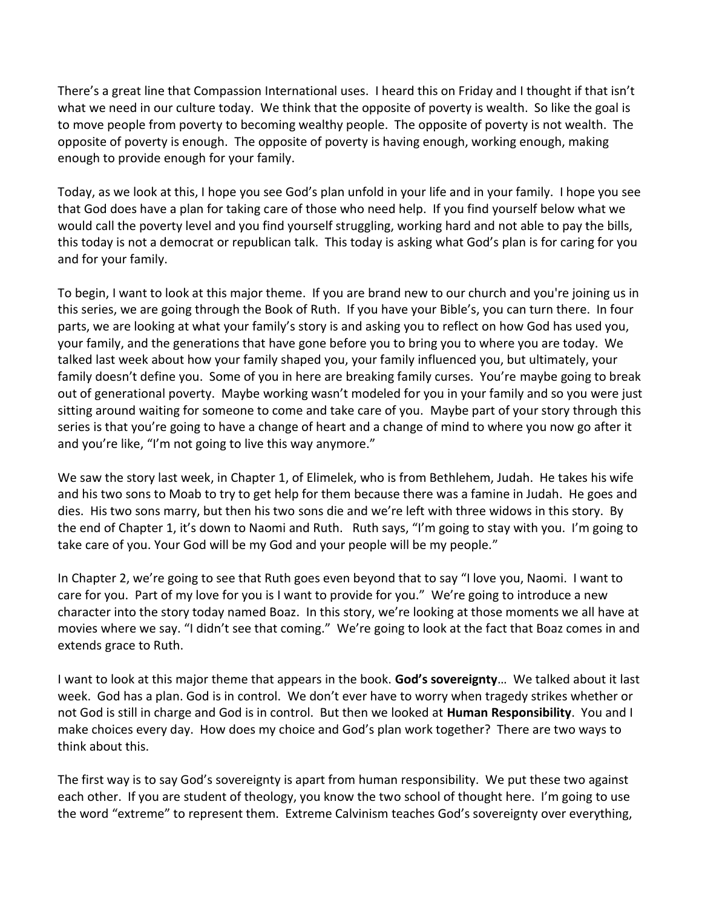There's a great line that Compassion International uses. I heard this on Friday and I thought if that isn't what we need in our culture today. We think that the opposite of poverty is wealth. So like the goal is to move people from poverty to becoming wealthy people. The opposite of poverty is not wealth. The opposite of poverty is enough. The opposite of poverty is having enough, working enough, making enough to provide enough for your family.

Today, as we look at this, I hope you see God's plan unfold in your life and in your family. I hope you see that God does have a plan for taking care of those who need help. If you find yourself below what we would call the poverty level and you find yourself struggling, working hard and not able to pay the bills, this today is not a democrat or republican talk. This today is asking what God's plan is for caring for you and for your family.

To begin, I want to look at this major theme. If you are brand new to our church and you're joining us in this series, we are going through the Book of Ruth. If you have your Bible's, you can turn there. In four parts, we are looking at what your family's story is and asking you to reflect on how God has used you, your family, and the generations that have gone before you to bring you to where you are today. We talked last week about how your family shaped you, your family influenced you, but ultimately, your family doesn't define you. Some of you in here are breaking family curses. You're maybe going to break out of generational poverty. Maybe working wasn't modeled for you in your family and so you were just sitting around waiting for someone to come and take care of you. Maybe part of your story through this series is that you're going to have a change of heart and a change of mind to where you now go after it and you're like, "I'm not going to live this way anymore."

We saw the story last week, in Chapter 1, of Elimelek, who is from Bethlehem, Judah. He takes his wife and his two sons to Moab to try to get help for them because there was a famine in Judah. He goes and dies. His two sons marry, but then his two sons die and we're left with three widows in this story. By the end of Chapter 1, it's down to Naomi and Ruth. Ruth says, "I'm going to stay with you. I'm going to take care of you. Your God will be my God and your people will be my people."

In Chapter 2, we're going to see that Ruth goes even beyond that to say "I love you, Naomi. I want to care for you. Part of my love for you is I want to provide for you." We're going to introduce a new character into the story today named Boaz. In this story, we're looking at those moments we all have at movies where we say. "I didn't see that coming." We're going to look at the fact that Boaz comes in and extends grace to Ruth.

I want to look at this major theme that appears in the book. **God's sovereignty**… We talked about it last week. God has a plan. God is in control. We don't ever have to worry when tragedy strikes whether or not God is still in charge and God is in control. But then we looked at **Human Responsibility**. You and I make choices every day. How does my choice and God's plan work together? There are two ways to think about this.

The first way is to say God's sovereignty is apart from human responsibility. We put these two against each other. If you are student of theology, you know the two school of thought here. I'm going to use the word "extreme" to represent them. Extreme Calvinism teaches God's sovereignty over everything,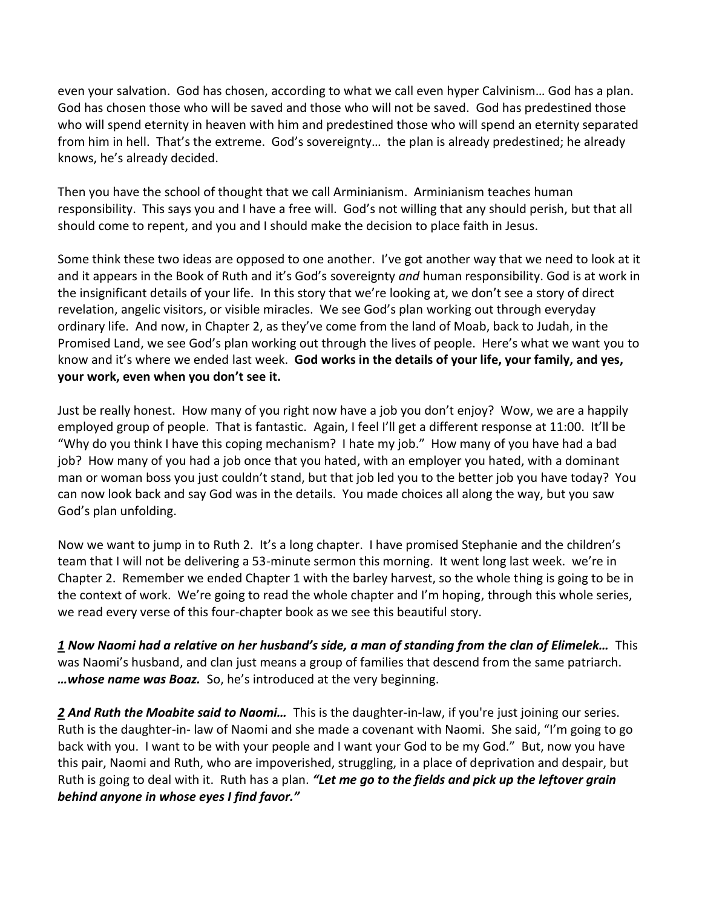even your salvation. God has chosen, according to what we call even hyper Calvinism… God has a plan. God has chosen those who will be saved and those who will not be saved. God has predestined those who will spend eternity in heaven with him and predestined those who will spend an eternity separated from him in hell. That's the extreme. God's sovereignty… the plan is already predestined; he already knows, he's already decided.

Then you have the school of thought that we call Arminianism. Arminianism teaches human responsibility. This says you and I have a free will. God's not willing that any should perish, but that all should come to repent, and you and I should make the decision to place faith in Jesus.

Some think these two ideas are opposed to one another. I've got another way that we need to look at it and it appears in the Book of Ruth and it's God's sovereignty *and* human responsibility. God is at work in the insignificant details of your life. In this story that we're looking at, we don't see a story of direct revelation, angelic visitors, or visible miracles. We see God's plan working out through everyday ordinary life. And now, in Chapter 2, as they've come from the land of Moab, back to Judah, in the Promised Land, we see God's plan working out through the lives of people. Here's what we want you to know and it's where we ended last week. **God works in the details of your life, your family, and yes, your work, even when you don't see it.** 

Just be really honest. How many of you right now have a job you don't enjoy? Wow, we are a happily employed group of people. That is fantastic. Again, I feel I'll get a different response at 11:00. It'll be "Why do you think I have this coping mechanism? I hate my job." How many of you have had a bad job? How many of you had a job once that you hated, with an employer you hated, with a dominant man or woman boss you just couldn't stand, but that job led you to the better job you have today? You can now look back and say God was in the details. You made choices all along the way, but you saw God's plan unfolding.

Now we want to jump in to Ruth 2. It's a long chapter. I have promised Stephanie and the children's team that I will not be delivering a 53-minute sermon this morning. It went long last week. we're in Chapter 2. Remember we ended Chapter 1 with the barley harvest, so the whole thing is going to be in the context of work. We're going to read the whole chapter and I'm hoping, through this whole series, we read every verse of this four-chapter book as we see this beautiful story.

*[1](http://www.studylight.org/desk/?q=ru%202:1&t1=en_niv&sr=1) Now Naomi had a relative on her husband's side, a man of standing from the clan of Elimelek…* This was Naomi's husband, and clan just means a group of families that descend from the same patriarch. *…whose name was Boaz.* So, he's introduced at the very beginning.

[2](http://www.studylight.org/desk/?q=ru%202:2&t1=en_niv&sr=1) And Ruth the Moabite said to Naomi... This is the daughter-in-law, if you're just joining our series. Ruth is the daughter-in- law of Naomi and she made a covenant with Naomi. She said, "I'm going to go back with you. I want to be with your people and I want your God to be my God." But, now you have this pair, Naomi and Ruth, who are impoverished, struggling, in a place of deprivation and despair, but Ruth is going to deal with it. Ruth has a plan. *"Let me go to the fields and pick up the leftover grain behind anyone in whose eyes I find favor."*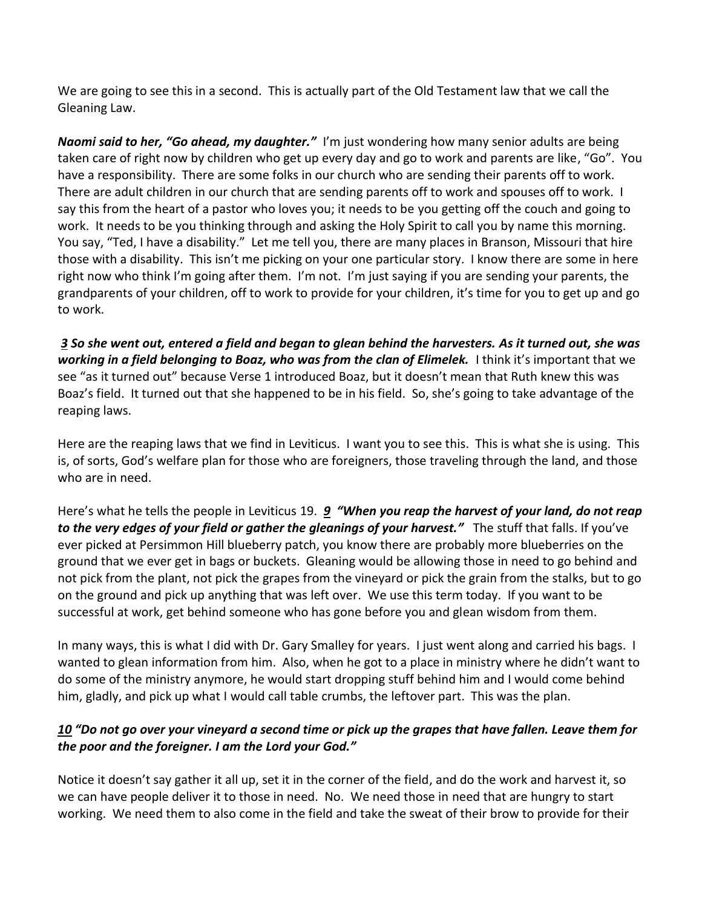We are going to see this in a second. This is actually part of the Old Testament law that we call the Gleaning Law.

*Naomi said to her, "Go ahead, my daughter."* I'm just wondering how many senior adults are being taken care of right now by children who get up every day and go to work and parents are like, "Go". You have a responsibility. There are some folks in our church who are sending their parents off to work. There are adult children in our church that are sending parents off to work and spouses off to work. I say this from the heart of a pastor who loves you; it needs to be you getting off the couch and going to work. It needs to be you thinking through and asking the Holy Spirit to call you by name this morning. You say, "Ted, I have a disability." Let me tell you, there are many places in Branson, Missouri that hire those with a disability. This isn't me picking on your one particular story. I know there are some in here right now who think I'm going after them. I'm not. I'm just saying if you are sending your parents, the grandparents of your children, off to work to provide for your children, it's time for you to get up and go to work.

 *[3](http://www.studylight.org/desk/?q=ru%202:3&t1=en_niv&sr=1) So she went out, entered a field and began to glean behind the harvesters. As it turned out, she was working in a field belonging to Boaz, who was from the clan of Elimelek.* I think it's important that we see "as it turned out" because Verse 1 introduced Boaz, but it doesn't mean that Ruth knew this was Boaz's field. It turned out that she happened to be in his field. So, she's going to take advantage of the reaping laws.

Here are the reaping laws that we find in Leviticus. I want you to see this. This is what she is using. This is, of sorts, God's welfare plan for those who are foreigners, those traveling through the land, and those who are in need.

Here's what he tells the people in Leviticus 19. *[9](http://www.studylight.org/desk/?q=le%2019:9&t1=en_niv&sr=1) "When you reap the harvest of your land, do not reap to the very edges of your field or gather the gleanings of your harvest."* The stuff that falls. If you've ever picked at Persimmon Hill blueberry patch, you know there are probably more blueberries on the ground that we ever get in bags or buckets. Gleaning would be allowing those in need to go behind and not pick from the plant, not pick the grapes from the vineyard or pick the grain from the stalks, but to go on the ground and pick up anything that was left over. We use this term today. If you want to be successful at work, get behind someone who has gone before you and glean wisdom from them.

In many ways, this is what I did with Dr. Gary Smalley for years. I just went along and carried his bags. I wanted to glean information from him. Also, when he got to a place in ministry where he didn't want to do some of the ministry anymore, he would start dropping stuff behind him and I would come behind him, gladly, and pick up what I would call table crumbs, the leftover part. This was the plan.

### *[10](http://www.studylight.org/desk/?q=le%2019:10&t1=en_niv&sr=1) "Do not go over your vineyard a second time or pick up the grapes that have fallen. Leave them for the poor and the foreigner. I am the Lord your God."*

Notice it doesn't say gather it all up, set it in the corner of the field, and do the work and harvest it, so we can have people deliver it to those in need. No. We need those in need that are hungry to start working. We need them to also come in the field and take the sweat of their brow to provide for their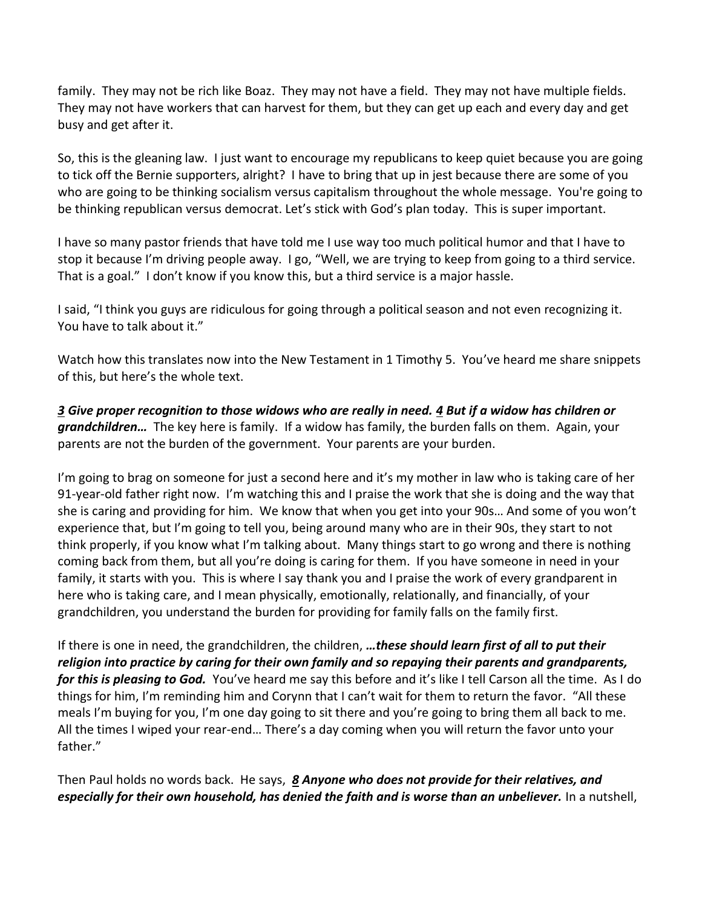family. They may not be rich like Boaz. They may not have a field. They may not have multiple fields. They may not have workers that can harvest for them, but they can get up each and every day and get busy and get after it.

So, this is the gleaning law. I just want to encourage my republicans to keep quiet because you are going to tick off the Bernie supporters, alright? I have to bring that up in jest because there are some of you who are going to be thinking socialism versus capitalism throughout the whole message. You're going to be thinking republican versus democrat. Let's stick with God's plan today. This is super important.

I have so many pastor friends that have told me I use way too much political humor and that I have to stop it because I'm driving people away. I go, "Well, we are trying to keep from going to a third service. That is a goal." I don't know if you know this, but a third service is a major hassle.

I said, "I think you guys are ridiculous for going through a political season and not even recognizing it. You have to talk about it."

Watch how this translates now into the New Testament in 1 Timothy 5. You've heard me share snippets of this, but here's the whole text.

*[3](http://www.studylight.org/desk/?q=1ti%205:3&t1=en_niv&sr=1) Give proper recognition to those widows who are really in need. [4](http://www.studylight.org/desk/?q=1ti%205:4&t1=en_niv&sr=1) But if a widow has children or grandchildren…* The key here is family. If a widow has family, the burden falls on them. Again, your parents are not the burden of the government. Your parents are your burden.

I'm going to brag on someone for just a second here and it's my mother in law who is taking care of her 91-year-old father right now. I'm watching this and I praise the work that she is doing and the way that she is caring and providing for him. We know that when you get into your 90s… And some of you won't experience that, but I'm going to tell you, being around many who are in their 90s, they start to not think properly, if you know what I'm talking about. Many things start to go wrong and there is nothing coming back from them, but all you're doing is caring for them. If you have someone in need in your family, it starts with you. This is where I say thank you and I praise the work of every grandparent in here who is taking care, and I mean physically, emotionally, relationally, and financially, of your grandchildren, you understand the burden for providing for family falls on the family first.

If there is one in need, the grandchildren, the children, *…these should learn first of all to put their religion into practice by caring for their own family and so repaying their parents and grandparents, for this is pleasing to God.* You've heard me say this before and it's like I tell Carson all the time. As I do things for him, I'm reminding him and Corynn that I can't wait for them to return the favor. "All these meals I'm buying for you, I'm one day going to sit there and you're going to bring them all back to me. All the times I wiped your rear-end… There's a day coming when you will return the favor unto your father."

Then Paul holds no words back. He says, *[8](http://www.studylight.org/desk/?q=1ti%205:8&t1=en_niv&sr=1) Anyone who does not provide for their relatives, and especially for their own household, has denied the faith and is worse than an unbeliever.* In a nutshell,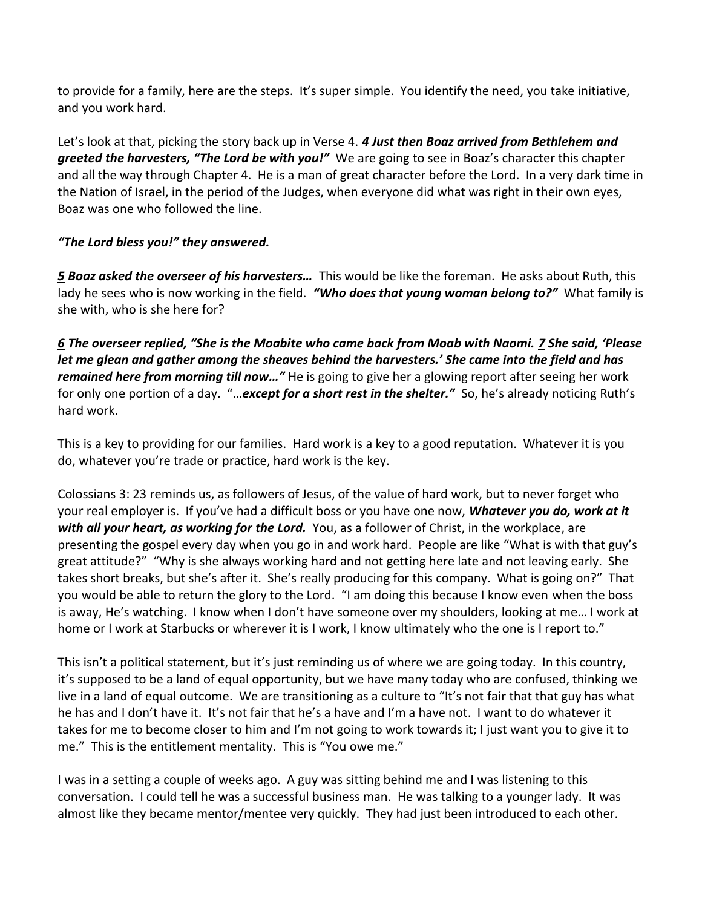to provide for a family, here are the steps. It's super simple. You identify the need, you take initiative, and you work hard.

Let's look at that, picking the story back up in Verse 4. *[4](http://www.studylight.org/desk/?q=ru%202:4&t1=en_niv&sr=1) Just then Boaz arrived from Bethlehem and greeted the harvesters, "The Lord be with you!"* We are going to see in Boaz's character this chapter and all the way through Chapter 4. He is a man of great character before the Lord. In a very dark time in the Nation of Israel, in the period of the Judges, when everyone did what was right in their own eyes, Boaz was one who followed the line.

# *"The Lord bless you!" they answered.*

*[5](http://www.studylight.org/desk/?q=ru%202:5&t1=en_niv&sr=1) Boaz asked the overseer of his harvesters…* This would be like the foreman. He asks about Ruth, this lady he sees who is now working in the field. *"Who does that young woman belong to?"* What family is she with, who is she here for?

*[6](http://www.studylight.org/desk/?q=ru%202:6&t1=en_niv&sr=1) The overseer replied, "She is the Moabite who came back from Moab with Naomi. [7](http://www.studylight.org/desk/?q=ru%202:7&t1=en_niv&sr=1) She said, 'Please let me glean and gather among the sheaves behind the harvesters.' She came into the field and has remained here from morning till now…"* He is going to give her a glowing report after seeing her work for only one portion of a day. "…*except for a short rest in the shelter."* So, he's already noticing Ruth's hard work.

This is a key to providing for our families. Hard work is a key to a good reputation. Whatever it is you do, whatever you're trade or practice, hard work is the key.

Colossians 3: 23 reminds us, as followers of Jesus, of the value of hard work, but to never forget who your real employer is. If you've had a difficult boss or you have one now, *Whatever you do, work at it with all your heart, as working for the Lord.* You, as a follower of Christ, in the workplace, are presenting the gospel every day when you go in and work hard. People are like "What is with that guy's great attitude?" "Why is she always working hard and not getting here late and not leaving early. She takes short breaks, but she's after it. She's really producing for this company. What is going on?" That you would be able to return the glory to the Lord. "I am doing this because I know even when the boss is away, He's watching. I know when I don't have someone over my shoulders, looking at me… I work at home or I work at Starbucks or wherever it is I work, I know ultimately who the one is I report to."

This isn't a political statement, but it's just reminding us of where we are going today. In this country, it's supposed to be a land of equal opportunity, but we have many today who are confused, thinking we live in a land of equal outcome. We are transitioning as a culture to "It's not fair that that guy has what he has and I don't have it. It's not fair that he's a have and I'm a have not. I want to do whatever it takes for me to become closer to him and I'm not going to work towards it; I just want you to give it to me." This is the entitlement mentality. This is "You owe me."

I was in a setting a couple of weeks ago. A guy was sitting behind me and I was listening to this conversation. I could tell he was a successful business man. He was talking to a younger lady. It was almost like they became mentor/mentee very quickly. They had just been introduced to each other.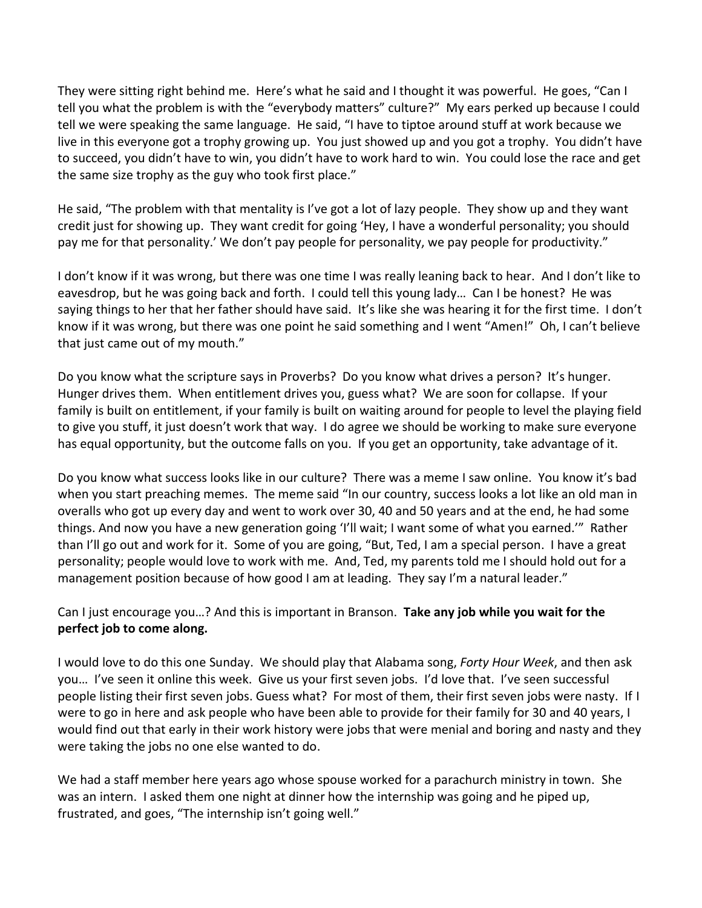They were sitting right behind me. Here's what he said and I thought it was powerful. He goes, "Can I tell you what the problem is with the "everybody matters" culture?" My ears perked up because I could tell we were speaking the same language. He said, "I have to tiptoe around stuff at work because we live in this everyone got a trophy growing up. You just showed up and you got a trophy. You didn't have to succeed, you didn't have to win, you didn't have to work hard to win. You could lose the race and get the same size trophy as the guy who took first place."

He said, "The problem with that mentality is I've got a lot of lazy people. They show up and they want credit just for showing up. They want credit for going 'Hey, I have a wonderful personality; you should pay me for that personality.' We don't pay people for personality, we pay people for productivity."

I don't know if it was wrong, but there was one time I was really leaning back to hear. And I don't like to eavesdrop, but he was going back and forth. I could tell this young lady… Can I be honest? He was saying things to her that her father should have said. It's like she was hearing it for the first time. I don't know if it was wrong, but there was one point he said something and I went "Amen!" Oh, I can't believe that just came out of my mouth."

Do you know what the scripture says in Proverbs? Do you know what drives a person? It's hunger. Hunger drives them. When entitlement drives you, guess what? We are soon for collapse. If your family is built on entitlement, if your family is built on waiting around for people to level the playing field to give you stuff, it just doesn't work that way. I do agree we should be working to make sure everyone has equal opportunity, but the outcome falls on you. If you get an opportunity, take advantage of it.

Do you know what success looks like in our culture? There was a meme I saw online. You know it's bad when you start preaching memes. The meme said "In our country, success looks a lot like an old man in overalls who got up every day and went to work over 30, 40 and 50 years and at the end, he had some things. And now you have a new generation going 'I'll wait; I want some of what you earned.'" Rather than I'll go out and work for it. Some of you are going, "But, Ted, I am a special person. I have a great personality; people would love to work with me. And, Ted, my parents told me I should hold out for a management position because of how good I am at leading. They say I'm a natural leader."

### Can I just encourage you…? And this is important in Branson. **Take any job while you wait for the perfect job to come along.**

I would love to do this one Sunday. We should play that Alabama song, *Forty Hour Week*, and then ask you… I've seen it online this week. Give us your first seven jobs. I'd love that. I've seen successful people listing their first seven jobs. Guess what? For most of them, their first seven jobs were nasty. If I were to go in here and ask people who have been able to provide for their family for 30 and 40 years, I would find out that early in their work history were jobs that were menial and boring and nasty and they were taking the jobs no one else wanted to do.

We had a staff member here years ago whose spouse worked for a parachurch ministry in town. She was an intern. I asked them one night at dinner how the internship was going and he piped up, frustrated, and goes, "The internship isn't going well."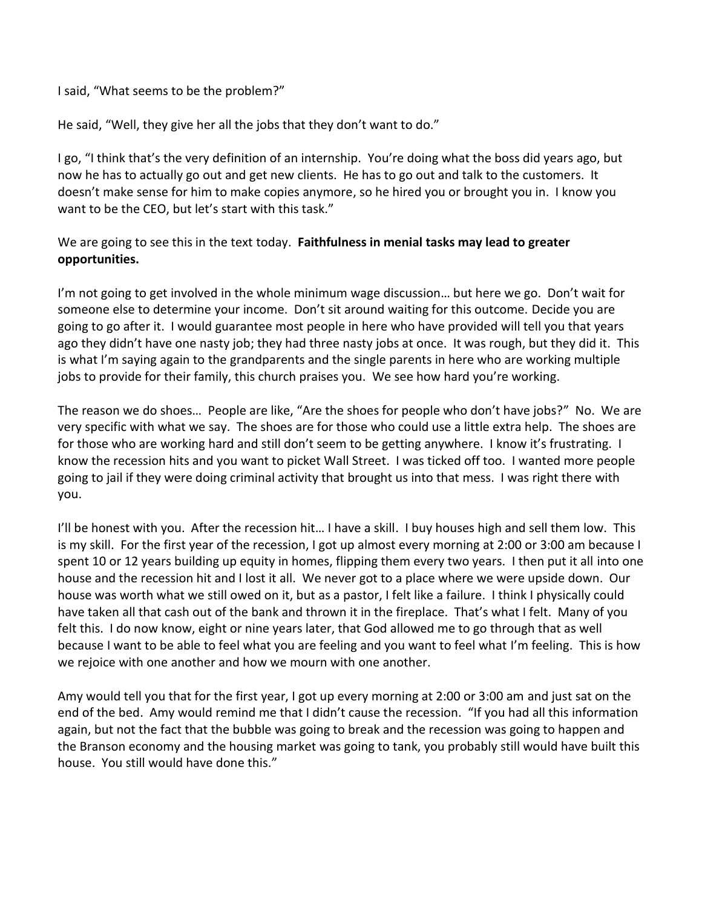I said, "What seems to be the problem?"

He said, "Well, they give her all the jobs that they don't want to do."

I go, "I think that's the very definition of an internship. You're doing what the boss did years ago, but now he has to actually go out and get new clients. He has to go out and talk to the customers. It doesn't make sense for him to make copies anymore, so he hired you or brought you in. I know you want to be the CEO, but let's start with this task."

#### We are going to see this in the text today. **Faithfulness in menial tasks may lead to greater opportunities.**

I'm not going to get involved in the whole minimum wage discussion… but here we go. Don't wait for someone else to determine your income. Don't sit around waiting for this outcome. Decide you are going to go after it. I would guarantee most people in here who have provided will tell you that years ago they didn't have one nasty job; they had three nasty jobs at once. It was rough, but they did it. This is what I'm saying again to the grandparents and the single parents in here who are working multiple jobs to provide for their family, this church praises you. We see how hard you're working.

The reason we do shoes… People are like, "Are the shoes for people who don't have jobs?" No. We are very specific with what we say. The shoes are for those who could use a little extra help. The shoes are for those who are working hard and still don't seem to be getting anywhere. I know it's frustrating. I know the recession hits and you want to picket Wall Street. I was ticked off too. I wanted more people going to jail if they were doing criminal activity that brought us into that mess. I was right there with you.

I'll be honest with you. After the recession hit… I have a skill. I buy houses high and sell them low. This is my skill. For the first year of the recession, I got up almost every morning at 2:00 or 3:00 am because I spent 10 or 12 years building up equity in homes, flipping them every two years. I then put it all into one house and the recession hit and I lost it all. We never got to a place where we were upside down. Our house was worth what we still owed on it, but as a pastor, I felt like a failure. I think I physically could have taken all that cash out of the bank and thrown it in the fireplace. That's what I felt. Many of you felt this. I do now know, eight or nine years later, that God allowed me to go through that as well because I want to be able to feel what you are feeling and you want to feel what I'm feeling. This is how we rejoice with one another and how we mourn with one another.

Amy would tell you that for the first year, I got up every morning at 2:00 or 3:00 am and just sat on the end of the bed. Amy would remind me that I didn't cause the recession. "If you had all this information again, but not the fact that the bubble was going to break and the recession was going to happen and the Branson economy and the housing market was going to tank, you probably still would have built this house. You still would have done this."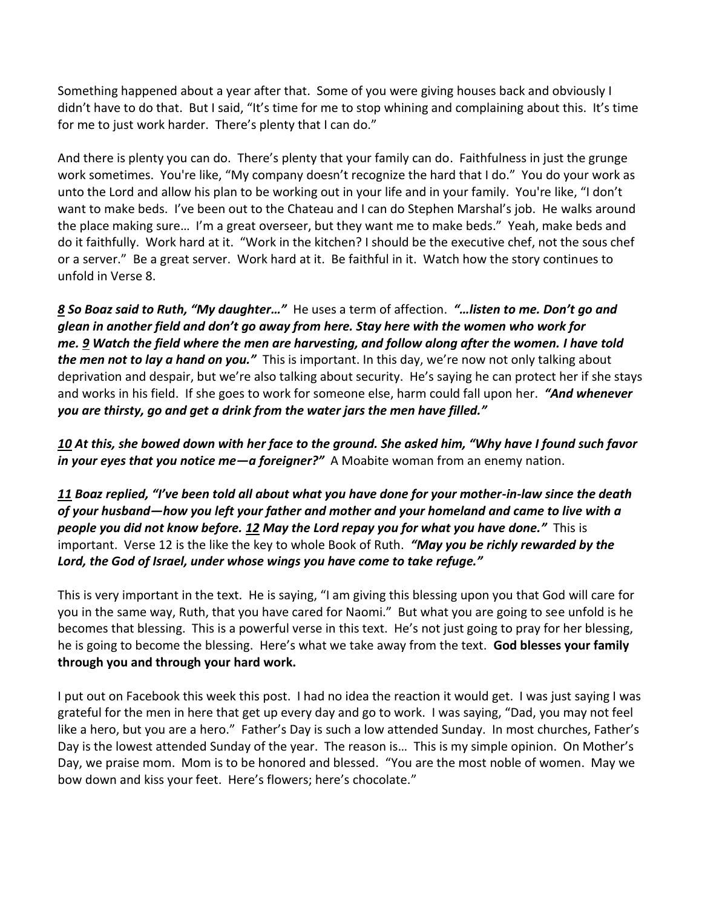Something happened about a year after that. Some of you were giving houses back and obviously I didn't have to do that. But I said, "It's time for me to stop whining and complaining about this. It's time for me to just work harder. There's plenty that I can do."

And there is plenty you can do. There's plenty that your family can do. Faithfulness in just the grunge work sometimes. You're like, "My company doesn't recognize the hard that I do." You do your work as unto the Lord and allow his plan to be working out in your life and in your family. You're like, "I don't want to make beds. I've been out to the Chateau and I can do Stephen Marshal's job. He walks around the place making sure… I'm a great overseer, but they want me to make beds." Yeah, make beds and do it faithfully. Work hard at it. "Work in the kitchen? I should be the executive chef, not the sous chef or a server." Be a great server. Work hard at it. Be faithful in it. Watch how the story continues to unfold in Verse 8.

*[8](http://www.studylight.org/desk/?q=ru%202:8&t1=en_niv&sr=1) So Boaz said to Ruth, "My daughter…"* He uses a term of affection. *"…listen to me. Don't go and glean in another field and don't go away from here. Stay here with the women who work for me. [9](http://www.studylight.org/desk/?q=ru%202:9&t1=en_niv&sr=1) Watch the field where the men are harvesting, and follow along after the women. I have told the men not to lay a hand on you."* This is important. In this day, we're now not only talking about deprivation and despair, but we're also talking about security. He's saying he can protect her if she stays and works in his field. If she goes to work for someone else, harm could fall upon her. *"And whenever you are thirsty, go and get a drink from the water jars the men have filled."*

*[10](http://www.studylight.org/desk/?q=ru%202:10&t1=en_niv&sr=1) At this, she bowed down with her face to the ground. She asked him, "Why have I found such favor in your eyes that you notice me—a foreigner?"* A Moabite woman from an enemy nation.

*[11](http://www.studylight.org/desk/?q=ru%202:11&t1=en_niv&sr=1) Boaz replied, "I've been told all about what you have done for your mother-in-law since the death of your husband—how you left your father and mother and your homeland and came to live with a people you did not know before. [12](http://www.studylight.org/desk/?q=ru%202:12&t1=en_niv&sr=1) May the Lord repay you for what you have done."* This is important. Verse 12 is the like the key to whole Book of Ruth. *"May you be richly rewarded by the Lord, the God of Israel, under whose wings you have come to take refuge."*

This is very important in the text. He is saying, "I am giving this blessing upon you that God will care for you in the same way, Ruth, that you have cared for Naomi." But what you are going to see unfold is he becomes that blessing. This is a powerful verse in this text. He's not just going to pray for her blessing, he is going to become the blessing. Here's what we take away from the text. **God blesses your family through you and through your hard work.** 

I put out on Facebook this week this post. I had no idea the reaction it would get. I was just saying I was grateful for the men in here that get up every day and go to work. I was saying, "Dad, you may not feel like a hero, but you are a hero." Father's Day is such a low attended Sunday. In most churches, Father's Day is the lowest attended Sunday of the year. The reason is… This is my simple opinion. On Mother's Day, we praise mom. Mom is to be honored and blessed. "You are the most noble of women. May we bow down and kiss your feet. Here's flowers; here's chocolate."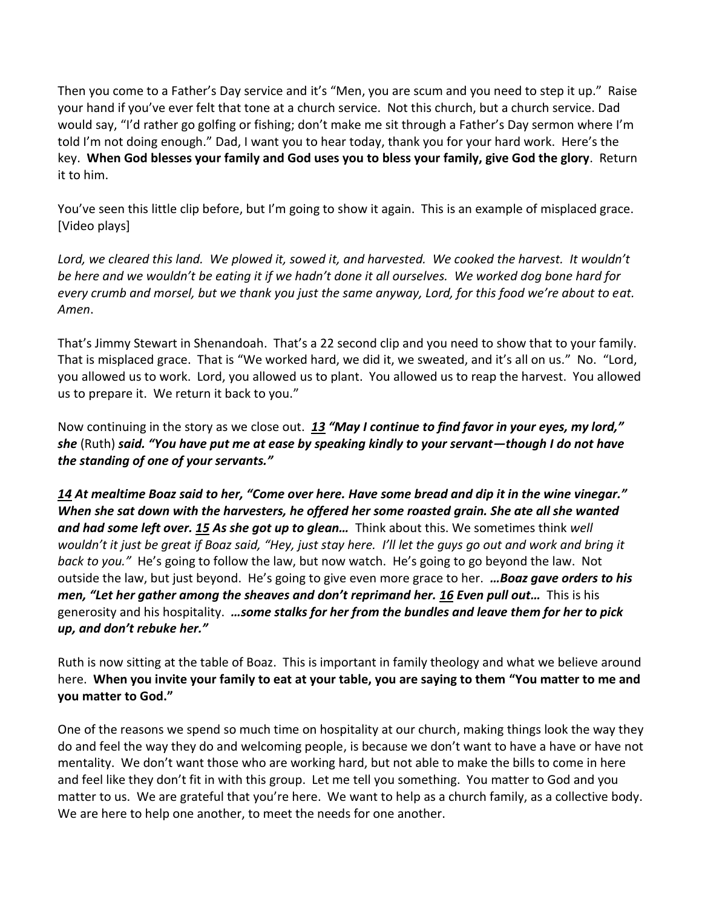Then you come to a Father's Day service and it's "Men, you are scum and you need to step it up." Raise your hand if you've ever felt that tone at a church service. Not this church, but a church service. Dad would say, "I'd rather go golfing or fishing; don't make me sit through a Father's Day sermon where I'm told I'm not doing enough." Dad, I want you to hear today, thank you for your hard work. Here's the key. **When God blesses your family and God uses you to bless your family, give God the glory**. Return it to him.

You've seen this little clip before, but I'm going to show it again. This is an example of misplaced grace. [Video plays]

*Lord, we cleared this land. We plowed it, sowed it, and harvested. We cooked the harvest. It wouldn't be here and we wouldn't be eating it if we hadn't done it all ourselves. We worked dog bone hard for every crumb and morsel, but we thank you just the same anyway, Lord, for this food we're about to eat. Amen*.

That's Jimmy Stewart in Shenandoah. That's a 22 second clip and you need to show that to your family. That is misplaced grace. That is "We worked hard, we did it, we sweated, and it's all on us." No. "Lord, you allowed us to work. Lord, you allowed us to plant. You allowed us to reap the harvest. You allowed us to prepare it. We return it back to you."

Now continuing in the story as we close out. *[13](http://www.studylight.org/desk/?q=ru%202:13&t1=en_niv&sr=1) "May I continue to find favor in your eyes, my lord," she* (Ruth) *said. "You have put me at ease by speaking kindly to your servant—though I do not have the standing of one of your servants."*

*[14](http://www.studylight.org/desk/?q=ru%202:14&t1=en_niv&sr=1) At mealtime Boaz said to her, "Come over here. Have some bread and dip it in the wine vinegar." When she sat down with the harvesters, he offered her some roasted grain. She ate all she wanted and had some left over. [15](http://www.studylight.org/desk/?q=ru%202:15&t1=en_niv&sr=1) As she got up to glean…* Think about this. We sometimes think *well wouldn't it just be great if Boaz said, "Hey, just stay here. I'll let the guys go out and work and bring it back to you."* He's going to follow the law, but now watch. He's going to go beyond the law. Not outside the law, but just beyond. He's going to give even more grace to her. *…Boaz gave orders to his men, "Let her gather among the sheaves and don't reprimand her. [16](http://www.studylight.org/desk/?q=ru%202:16&t1=en_niv&sr=1) Even pull out…* This is his generosity and his hospitality. *…some stalks for her from the bundles and leave them for her to pick up, and don't rebuke her."*

Ruth is now sitting at the table of Boaz. This is important in family theology and what we believe around here. **When you invite your family to eat at your table, you are saying to them "You matter to me and you matter to God."**

One of the reasons we spend so much time on hospitality at our church, making things look the way they do and feel the way they do and welcoming people, is because we don't want to have a have or have not mentality. We don't want those who are working hard, but not able to make the bills to come in here and feel like they don't fit in with this group. Let me tell you something. You matter to God and you matter to us. We are grateful that you're here. We want to help as a church family, as a collective body. We are here to help one another, to meet the needs for one another.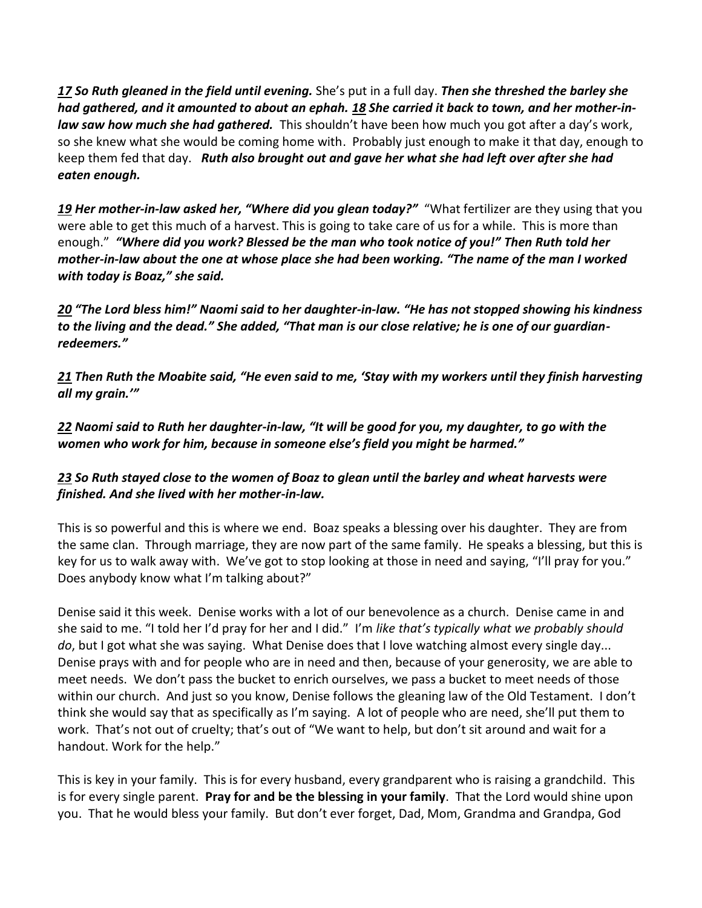*[17](http://www.studylight.org/desk/?q=ru%202:17&t1=en_niv&sr=1) So Ruth gleaned in the field until evening.* She's put in a full day. *Then she threshed the barley she had gathered, and it amounted to about an ephah. [18](http://www.studylight.org/desk/?q=ru%202:18&t1=en_niv&sr=1) She carried it back to town, and her mother-inlaw saw how much she had gathered.* This shouldn't have been how much you got after a day's work, so she knew what she would be coming home with. Probably just enough to make it that day, enough to keep them fed that day. *Ruth also brought out and gave her what she had left over after she had eaten enough.* 

*[19](http://www.studylight.org/desk/?q=ru%202:19&t1=en_niv&sr=1) Her mother-in-law asked her, "Where did you glean today?"* "What fertilizer are they using that you were able to get this much of a harvest. This is going to take care of us for a while. This is more than enough." *"Where did you work? Blessed be the man who took notice of you!" Then Ruth told her mother-in-law about the one at whose place she had been working. "The name of the man I worked with today is Boaz," she said.*

*[20](http://www.studylight.org/desk/?q=ru%202:20&t1=en_niv&sr=1) "The Lord bless him!" Naomi said to her daughter-in-law. "He has not stopped showing his kindness to the living and the dead." She added, "That man is our close relative; he is one of our guardianredeemers."*

*[21](http://www.studylight.org/desk/?q=ru%202:21&t1=en_niv&sr=1) Then Ruth the Moabite said, "He even said to me, 'Stay with my workers until they finish harvesting all my grain.'"*

*[22](http://www.studylight.org/desk/?q=ru%202:22&t1=en_niv&sr=1) Naomi said to Ruth her daughter-in-law, "It will be good for you, my daughter, to go with the women who work for him, because in someone else's field you might be harmed."*

# *[23](http://www.studylight.org/desk/?q=ru%202:23&t1=en_niv&sr=1) So Ruth stayed close to the women of Boaz to glean until the barley and wheat harvests were finished. And she lived with her mother-in-law.*

This is so powerful and this is where we end. Boaz speaks a blessing over his daughter. They are from the same clan. Through marriage, they are now part of the same family. He speaks a blessing, but this is key for us to walk away with. We've got to stop looking at those in need and saying, "I'll pray for you." Does anybody know what I'm talking about?"

Denise said it this week. Denise works with a lot of our benevolence as a church. Denise came in and she said to me. "I told her I'd pray for her and I did." I'm *like that's typically what we probably should do*, but I got what she was saying. What Denise does that I love watching almost every single day... Denise prays with and for people who are in need and then, because of your generosity, we are able to meet needs. We don't pass the bucket to enrich ourselves, we pass a bucket to meet needs of those within our church. And just so you know, Denise follows the gleaning law of the Old Testament. I don't think she would say that as specifically as I'm saying. A lot of people who are need, she'll put them to work. That's not out of cruelty; that's out of "We want to help, but don't sit around and wait for a handout. Work for the help."

This is key in your family. This is for every husband, every grandparent who is raising a grandchild. This is for every single parent. **Pray for and be the blessing in your family**. That the Lord would shine upon you. That he would bless your family. But don't ever forget, Dad, Mom, Grandma and Grandpa, God